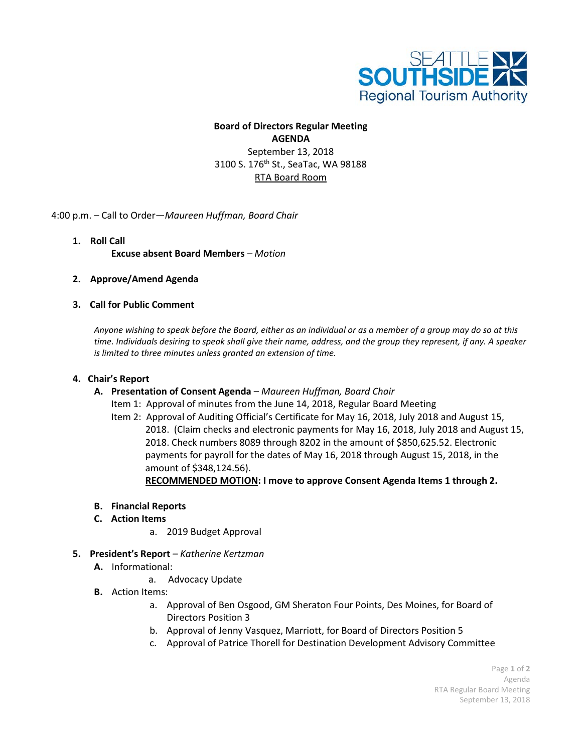

## **Board of Directors Regular Meeting AGENDA** September 13, 2018 3100 S. 176<sup>th</sup> St., SeaTac, WA 98188 RTA Board Room

4:00 p.m. – Call to Order—*Maureen Huffman, Board Chair*

- **1. Roll Call Excuse absent Board Members** *– Motion*
- **2. Approve/Amend Agenda**

## **3. Call for Public Comment**

*Anyone wishing to speak before the Board, either as an individual or as a member of a group may do so at this time. Individuals desiring to speak shall give their name, address, and the group they represent, if any. A speaker is limited to three minutes unless granted an extension of time.*

## **4. Chair's Report**

- **A. Presentation of Consent Agenda** *– Maureen Huffman, Board Chair*
	- Item 1: Approval of minutes from the June 14, 2018, Regular Board Meeting
	- Item 2: Approval of Auditing Official's Certificate for May 16, 2018, July 2018 and August 15, 2018. (Claim checks and electronic payments for May 16, 2018, July 2018 and August 15, 2018. Check numbers 8089 through 8202 in the amount of \$850,625.52. Electronic payments for payroll for the dates of May 16, 2018 through August 15, 2018, in the amount of \$348,124.56).

**RECOMMENDED MOTION: I move to approve Consent Agenda Items 1 through 2.**

- **B. Financial Reports**
- **C. Action Items**
	- a. 2019 Budget Approval
- **5. President's Report** *– Katherine Kertzman*
	- **A.** Informational:
		- a. Advocacy Update
	- **B.** Action Items:
		- a. Approval of Ben Osgood, GM Sheraton Four Points, Des Moines, for Board of Directors Position 3
		- b. Approval of Jenny Vasquez, Marriott, for Board of Directors Position 5
		- c. Approval of Patrice Thorell for Destination Development Advisory Committee

Page **1** of **2** Agenda RTA Regular Board Meeting September 13, 2018